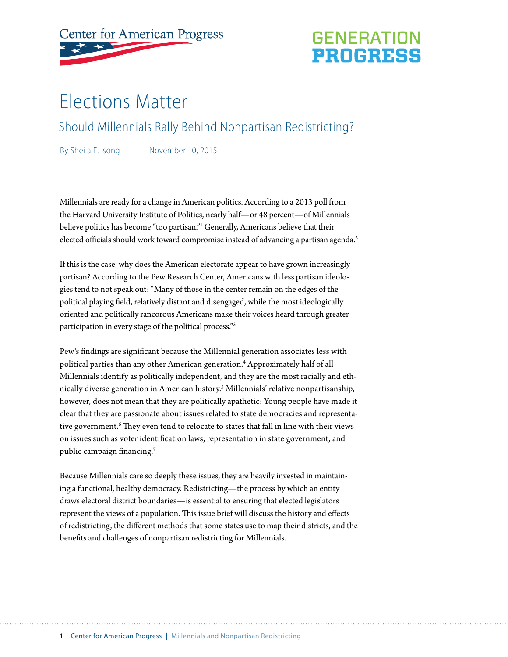

## **GENERATION PROGRESS**

# Elections Matter

Should Millennials Rally Behind Nonpartisan Redistricting?

By Sheila E. Isong November 10, 2015

Millennials are ready for a change in American politics. According to a 2013 poll from the Harvard University Institute of Politics, nearly half—or 48 percent—of Millennials believe politics has become "too partisan."1 Generally, Americans believe that their elected officials should work toward compromise instead of advancing a partisan agenda.<sup>2</sup>

If this is the case, why does the American electorate appear to have grown increasingly partisan? According to the Pew Research Center, Americans with less partisan ideologies tend to not speak out: "Many of those in the center remain on the edges of the political playing field, relatively distant and disengaged, while the most ideologically oriented and politically rancorous Americans make their voices heard through greater participation in every stage of the political process."3

Pew's findings are significant because the Millennial generation associates less with political parties than any other American generation.4 Approximately half of all Millennials identify as politically independent, and they are the most racially and ethnically diverse generation in American history.5 Millennials' relative nonpartisanship, however, does not mean that they are politically apathetic: Young people have made it clear that they are passionate about issues related to state democracies and representative government.<sup>6</sup> They even tend to relocate to states that fall in line with their views on issues such as voter identification laws, representation in state government, and public campaign financing.<sup>7</sup>

Because Millennials care so deeply these issues, they are heavily invested in maintaining a functional, healthy democracy. Redistricting—the process by which an entity draws electoral district boundaries—is essential to ensuring that elected legislators represent the views of a population. This issue brief will discuss the history and effects of redistricting, the different methods that some states use to map their districts, and the benefits and challenges of nonpartisan redistricting for Millennials.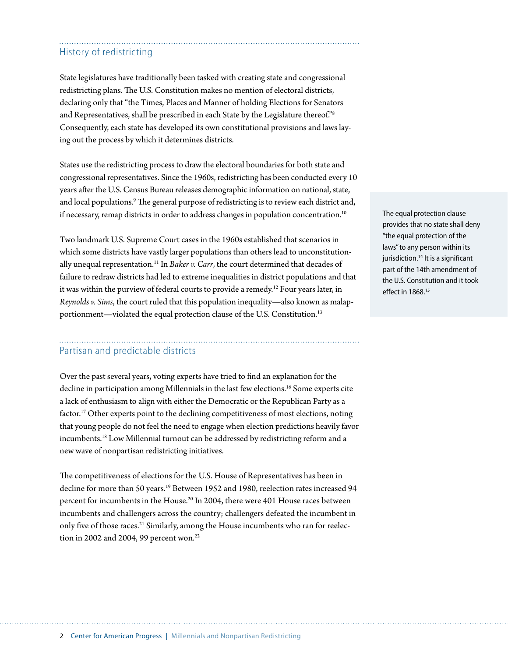### History of redistricting

State legislatures have traditionally been tasked with creating state and congressional redistricting plans. The U.S. Constitution makes no mention of electoral districts, declaring only that "the Times, Places and Manner of holding Elections for Senators and Representatives, shall be prescribed in each State by the Legislature thereof."8 Consequently, each state has developed its own constitutional provisions and laws laying out the process by which it determines districts.

States use the redistricting process to draw the electoral boundaries for both state and congressional representatives. Since the 1960s, redistricting has been conducted every 10 years after the U.S. Census Bureau releases demographic information on national, state, and local populations.<sup>9</sup> The general purpose of redistricting is to review each district and, if necessary, remap districts in order to address changes in population concentration.<sup>10</sup>

Two landmark U.S. Supreme Court cases in the 1960s established that scenarios in which some districts have vastly larger populations than others lead to unconstitutionally unequal representation.<sup>11</sup> In *Baker v. Carr*, the court determined that decades of failure to redraw districts had led to extreme inequalities in district populations and that it was within the purview of federal courts to provide a remedy.<sup>12</sup> Four years later, in *Reynolds v. Sims*, the court ruled that this population inequality—also known as malapportionment—violated the equal protection clause of the U.S. Constitution.<sup>13</sup>

## Partisan and predictable districts

Over the past several years, voting experts have tried to find an explanation for the decline in participation among Millennials in the last few elections.<sup>16</sup> Some experts cite a lack of enthusiasm to align with either the Democratic or the Republican Party as a factor.17 Other experts point to the declining competitiveness of most elections, noting that young people do not feel the need to engage when election predictions heavily favor incumbents.18 Low Millennial turnout can be addressed by redistricting reform and a new wave of nonpartisan redistricting initiatives.

The competitiveness of elections for the U.S. House of Representatives has been in decline for more than 50 years.<sup>19</sup> Between 1952 and 1980, reelection rates increased 94 percent for incumbents in the House.<sup>20</sup> In 2004, there were 401 House races between incumbents and challengers across the country; challengers defeated the incumbent in only five of those races.<sup>21</sup> Similarly, among the House incumbents who ran for reelection in 2002 and 2004, 99 percent won.<sup>22</sup>

The equal protection clause provides that no state shall deny "the equal protection of the laws" to any person within its jurisdiction.<sup>14</sup> It is a significant part of the 14th amendment of the U.S. Constitution and it took effect in 1868.15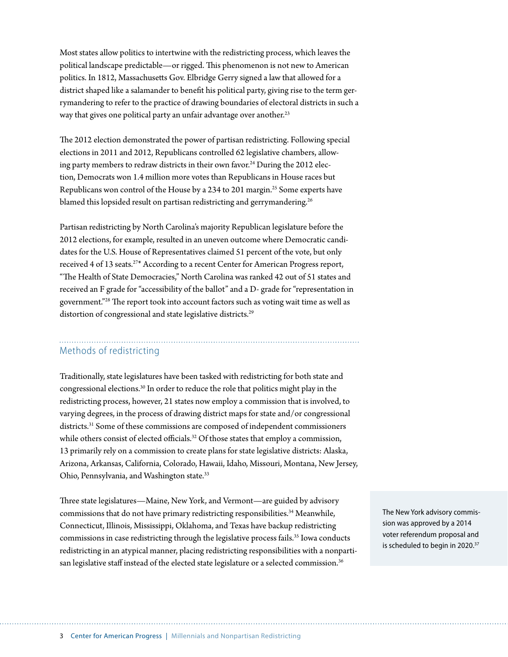Most states allow politics to intertwine with the redistricting process, which leaves the political landscape predictable—or rigged. This phenomenon is not new to American politics. In 1812, Massachusetts Gov. Elbridge Gerry signed a law that allowed for a district shaped like a salamander to benefit his political party, giving rise to the term gerrymandering to refer to the practice of drawing boundaries of electoral districts in such a way that gives one political party an unfair advantage over another.<sup>23</sup>

The 2012 election demonstrated the power of partisan redistricting. Following special elections in 2011 and 2012, Republicans controlled 62 legislative chambers, allowing party members to redraw districts in their own favor.<sup>24</sup> During the 2012 election, Democrats won 1.4 million more votes than Republicans in House races but Republicans won control of the House by a 234 to 201 margin.<sup>25</sup> Some experts have blamed this lopsided result on partisan redistricting and gerrymandering.<sup>26</sup>

Partisan redistricting by North Carolina's majority Republican legislature before the 2012 elections, for example, resulted in an uneven outcome where Democratic candidates for the U.S. House of Representatives claimed 51 percent of the vote, but only received 4 of 13 seats.27\* According to a recent Center for American Progress report, "The Health of State Democracies," North Carolina was ranked 42 out of 51 states and received an F grade for "accessibility of the ballot" and a D- grade for "representation in government."28 The report took into account factors such as voting wait time as well as distortion of congressional and state legislative districts.<sup>29</sup>

## Methods of redistricting

Traditionally, state legislatures have been tasked with redistricting for both state and congressional elections.30 In order to reduce the role that politics might play in the redistricting process, however, 21 states now employ a commission that is involved, to varying degrees, in the process of drawing district maps for state and/or congressional districts.31 Some of these commissions are composed of independent commissioners while others consist of elected officials.<sup>32</sup> Of those states that employ a commission, 13 primarily rely on a commission to create plans for state legislative districts: Alaska, Arizona, Arkansas, California, Colorado, Hawaii, Idaho, Missouri, Montana, New Jersey, Ohio, Pennsylvania, and Washington state.33

Three state legislatures—Maine, New York, and Vermont—are guided by advisory commissions that do not have primary redistricting responsibilities.<sup>34</sup> Meanwhile, Connecticut, Illinois, Mississippi, Oklahoma, and Texas have backup redistricting commissions in case redistricting through the legislative process fails.<sup>35</sup> Iowa conducts redistricting in an atypical manner, placing redistricting responsibilities with a nonpartisan legislative staff instead of the elected state legislature or a selected commission.<sup>36</sup>

The New York advisory commission was approved by a 2014 voter referendum proposal and is scheduled to begin in 2020.<sup>37</sup>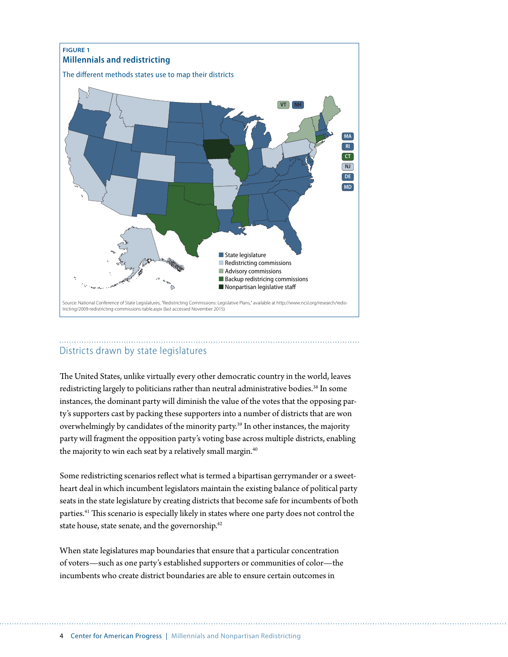

### Districts drawn by state legislatures

The United States, unlike virtually every other democratic country in the world, leaves redistricting largely to politicians rather than neutral administrative bodies.<sup>38</sup> In some instances, the dominant party will diminish the value of the votes that the opposing party's supporters cast by packing these supporters into a number of districts that are won overwhelmingly by candidates of the minority party.39 In other instances, the majority party will fragment the opposition party's voting base across multiple districts, enabling the majority to win each seat by a relatively small margin.<sup>40</sup>

Some redistricting scenarios reflect what is termed a bipartisan gerrymander or a sweetheart deal in which incumbent legislators maintain the existing balance of political party seats in the state legislature by creating districts that become safe for incumbents of both parties.<sup>41</sup> This scenario is especially likely in states where one party does not control the state house, state senate, and the governorship.<sup>42</sup>

When state legislatures map boundaries that ensure that a particular concentration of voters—such as one party's established supporters or communities of color—the incumbents who create district boundaries are able to ensure certain outcomes in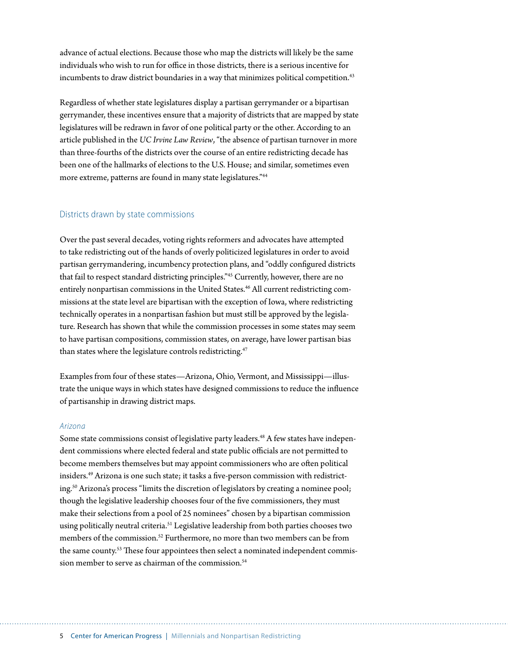advance of actual elections. Because those who map the districts will likely be the same individuals who wish to run for office in those districts, there is a serious incentive for incumbents to draw district boundaries in a way that minimizes political competition.<sup>43</sup>

Regardless of whether state legislatures display a partisan gerrymander or a bipartisan gerrymander, these incentives ensure that a majority of districts that are mapped by state legislatures will be redrawn in favor of one political party or the other. According to an article published in the *UC Irvine Law Review*, "the absence of partisan turnover in more than three-fourths of the districts over the course of an entire redistricting decade has been one of the hallmarks of elections to the U.S. House; and similar, sometimes even more extreme, patterns are found in many state legislatures."44

#### Districts drawn by state commissions

Over the past several decades, voting rights reformers and advocates have attempted to take redistricting out of the hands of overly politicized legislatures in order to avoid partisan gerrymandering, incumbency protection plans, and "oddly configured districts that fail to respect standard districting principles."45 Currently, however, there are no entirely nonpartisan commissions in the United States.<sup>46</sup> All current redistricting commissions at the state level are bipartisan with the exception of Iowa, where redistricting technically operates in a nonpartisan fashion but must still be approved by the legislature. Research has shown that while the commission processes in some states may seem to have partisan compositions, commission states, on average, have lower partisan bias than states where the legislature controls redistricting.<sup>47</sup>

Examples from four of these states—Arizona, Ohio, Vermont, and Mississippi—illustrate the unique ways in which states have designed commissions to reduce the influence of partisanship in drawing district maps.

#### *Arizona*

Some state commissions consist of legislative party leaders.<sup>48</sup> A few states have independent commissions where elected federal and state public officials are not permitted to become members themselves but may appoint commissioners who are often political insiders.49 Arizona is one such state; it tasks a five-person commission with redistricting.50 Arizona's process "limits the discretion of legislators by creating a nominee pool; though the legislative leadership chooses four of the five commissioners, they must make their selections from a pool of 25 nominees" chosen by a bipartisan commission using politically neutral criteria.<sup>51</sup> Legislative leadership from both parties chooses two members of the commission.52 Furthermore, no more than two members can be from the same county.<sup>53</sup> These four appointees then select a nominated independent commission member to serve as chairman of the commission.<sup>54</sup>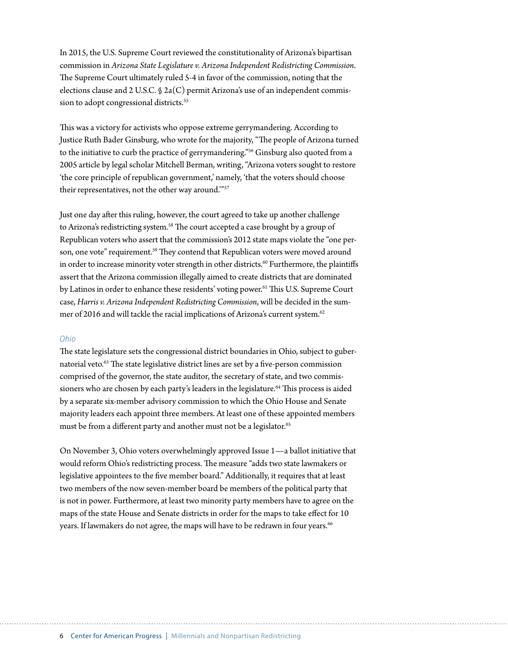In 2015, the U.S. Supreme Court reviewed the constitutionality of Arizona's bipartisan commission in *Arizona State Legislature v. Arizona Independent Redistricting Commission*. The Supreme Court ultimately ruled 5-4 in favor of the commission, noting that the elections clause and 2 U.S.C.  $\oint$  2a(C) permit Arizona's use of an independent commission to adopt congressional districts.<sup>55</sup>

This was a victory for activists who oppose extreme gerrymandering. According to Justice Ruth Bader Ginsburg, who wrote for the majority, "The people of Arizona turned to the initiative to curb the practice of gerrymandering."<sup>56</sup> Ginsburg also quoted from a 2005 article by legal scholar Mitchell Berman, writing, "Arizona voters sought to restore 'the core principle of republican government,' namely, 'that the voters should choose their representatives, not the other way around.'"57

Just one day after this ruling, however, the court agreed to take up another challenge to Arizona's redistricting system.<sup>58</sup> The court accepted a case brought by a group of Republican voters who assert that the commission's 2012 state maps violate the "one person, one vote" requirement.<sup>59</sup> They contend that Republican voters were moved around in order to increase minority voter strength in other districts.<sup>60</sup> Furthermore, the plaintiffs assert that the Arizona commission illegally aimed to create districts that are dominated by Latinos in order to enhance these residents' voting power.<sup>61</sup> This U.S. Supreme Court case, *Harris v. Arizona Independent Redistricting Commission*, will be decided in the summer of 2016 and will tackle the racial implications of Arizona's current system.<sup>62</sup>

#### *Ohio*

The state legislature sets the congressional district boundaries in Ohio, subject to gubernatorial veto.<sup>63</sup> The state legislative district lines are set by a five-person commission comprised of the governor, the state auditor, the secretary of state, and two commissioners who are chosen by each party's leaders in the legislature.<sup>64</sup> This process is aided by a separate six-member advisory commission to which the Ohio House and Senate majority leaders each appoint three members. At least one of these appointed members must be from a different party and another must not be a legislator.<sup>65</sup>

On November 3, Ohio voters overwhelmingly approved Issue 1—a ballot initiative that would reform Ohio's redistricting process. The measure "adds two state lawmakers or legislative appointees to the five member board." Additionally, it requires that at least two members of the now seven-member board be members of the political party that is not in power. Furthermore, at least two minority party members have to agree on the maps of the state House and Senate districts in order for the maps to take effect for 10 years. If lawmakers do not agree, the maps will have to be redrawn in four years.<sup>66</sup>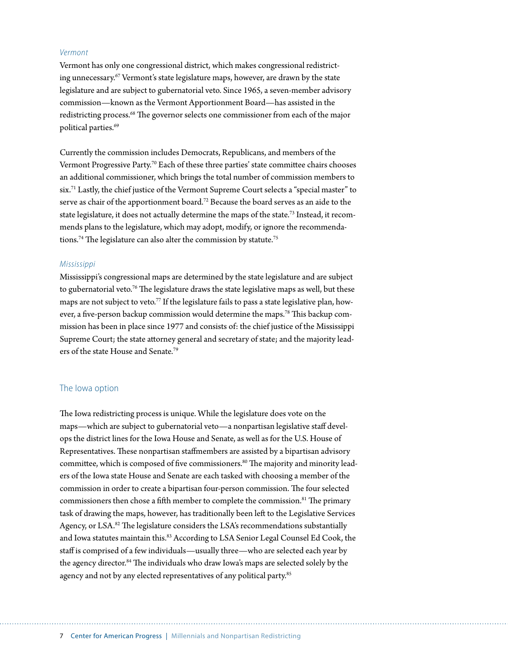#### *Vermont*

Vermont has only one congressional district, which makes congressional redistricting unnecessary.67 Vermont's state legislature maps, however, are drawn by the state legislature and are subject to gubernatorial veto. Since 1965, a seven-member advisory commission—known as the Vermont Apportionment Board—has assisted in the redistricting process.68 The governor selects one commissioner from each of the major political parties.<sup>69</sup>

Currently the commission includes Democrats, Republicans, and members of the Vermont Progressive Party.<sup>70</sup> Each of these three parties' state committee chairs chooses an additional commissioner, which brings the total number of commission members to six.71 Lastly, the chief justice of the Vermont Supreme Court selects a "special master" to serve as chair of the apportionment board.<sup>72</sup> Because the board serves as an aide to the state legislature, it does not actually determine the maps of the state.<sup>73</sup> Instead, it recommends plans to the legislature, which may adopt, modify, or ignore the recommendations.<sup>74</sup> The legislature can also alter the commission by statute.<sup>75</sup>

#### *Mississippi*

Mississippi's congressional maps are determined by the state legislature and are subject to gubernatorial veto.<sup>76</sup> The legislature draws the state legislative maps as well, but these maps are not subject to veto.<sup>77</sup> If the legislature fails to pass a state legislative plan, however, a five-person backup commission would determine the maps.<sup>78</sup> This backup commission has been in place since 1977 and consists of: the chief justice of the Mississippi Supreme Court; the state attorney general and secretary of state; and the majority leaders of the state House and Senate.79

#### The Iowa option

The Iowa redistricting process is unique. While the legislature does vote on the maps—which are subject to gubernatorial veto—a nonpartisan legislative staff develops the district lines for the Iowa House and Senate, as well as for the U.S. House of Representatives. These nonpartisan staffmembers are assisted by a bipartisan advisory committee, which is composed of five commissioners.<sup>80</sup> The majority and minority leaders of the Iowa state House and Senate are each tasked with choosing a member of the commission in order to create a bipartisan four-person commission. The four selected commissioners then chose a fifth member to complete the commission.<sup>81</sup> The primary task of drawing the maps, however, has traditionally been left to the Legislative Services Agency, or LSA.<sup>82</sup> The legislature considers the LSA's recommendations substantially and Iowa statutes maintain this.<sup>83</sup> According to LSA Senior Legal Counsel Ed Cook, the staff is comprised of a few individuals—usually three—who are selected each year by the agency director.<sup>84</sup> The individuals who draw Iowa's maps are selected solely by the agency and not by any elected representatives of any political party.<sup>85</sup>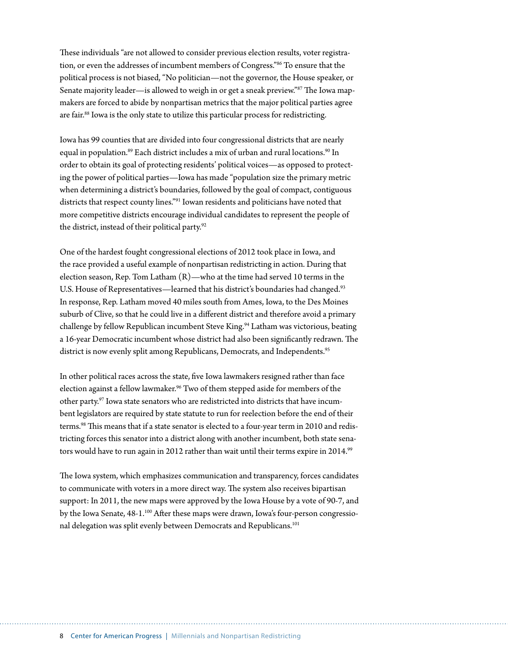These individuals "are not allowed to consider previous election results, voter registration, or even the addresses of incumbent members of Congress."86 To ensure that the political process is not biased, "No politician—not the governor, the House speaker, or Senate majority leader—is allowed to weigh in or get a sneak preview."<sup>87</sup> The Iowa mapmakers are forced to abide by nonpartisan metrics that the major political parties agree are fair.<sup>88</sup> Iowa is the only state to utilize this particular process for redistricting.

Iowa has 99 counties that are divided into four congressional districts that are nearly equal in population.<sup>89</sup> Each district includes a mix of urban and rural locations.<sup>90</sup> In order to obtain its goal of protecting residents' political voices—as opposed to protecting the power of political parties—Iowa has made "population size the primary metric when determining a district's boundaries, followed by the goal of compact, contiguous districts that respect county lines."91 Iowan residents and politicians have noted that more competitive districts encourage individual candidates to represent the people of the district, instead of their political party.<sup>92</sup>

One of the hardest fought congressional elections of 2012 took place in Iowa, and the race provided a useful example of nonpartisan redistricting in action. During that election season, Rep. Tom Latham (R)—who at the time had served 10 terms in the U.S. House of Representatives—learned that his district's boundaries had changed.<sup>93</sup> In response, Rep. Latham moved 40 miles south from Ames, Iowa, to the Des Moines suburb of Clive, so that he could live in a different district and therefore avoid a primary challenge by fellow Republican incumbent Steve King.<sup>94</sup> Latham was victorious, beating a 16-year Democratic incumbent whose district had also been significantly redrawn. The district is now evenly split among Republicans, Democrats, and Independents.<sup>95</sup>

In other political races across the state, five Iowa lawmakers resigned rather than face election against a fellow lawmaker.<sup>96</sup> Two of them stepped aside for members of the other party.<sup>97</sup> Iowa state senators who are redistricted into districts that have incumbent legislators are required by state statute to run for reelection before the end of their terms.98 This means that if a state senator is elected to a four-year term in 2010 and redistricting forces this senator into a district along with another incumbent, both state senators would have to run again in 2012 rather than wait until their terms expire in 2014.<sup>99</sup>

The Iowa system, which emphasizes communication and transparency, forces candidates to communicate with voters in a more direct way. The system also receives bipartisan support: In 2011, the new maps were approved by the Iowa House by a vote of 90-7, and by the Iowa Senate, 48-1.<sup>100</sup> After these maps were drawn, Iowa's four-person congressional delegation was split evenly between Democrats and Republicans.<sup>101</sup>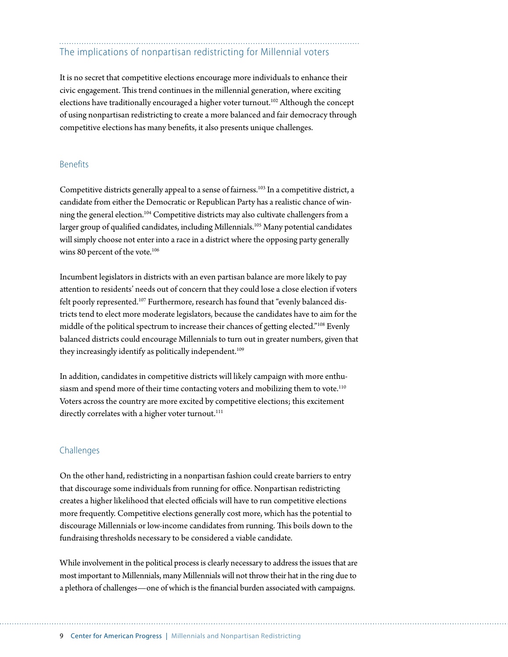## The implications of nonpartisan redistricting for Millennial voters

It is no secret that competitive elections encourage more individuals to enhance their civic engagement. This trend continues in the millennial generation, where exciting elections have traditionally encouraged a higher voter turnout.<sup>102</sup> Although the concept of using nonpartisan redistricting to create a more balanced and fair democracy through competitive elections has many benefits, it also presents unique challenges.

#### Benefits

Competitive districts generally appeal to a sense of fairness.<sup>103</sup> In a competitive district, a candidate from either the Democratic or Republican Party has a realistic chance of winning the general election.104 Competitive districts may also cultivate challengers from a larger group of qualified candidates, including Millennials.<sup>105</sup> Many potential candidates will simply choose not enter into a race in a district where the opposing party generally wins 80 percent of the vote.<sup>106</sup>

Incumbent legislators in districts with an even partisan balance are more likely to pay attention to residents' needs out of concern that they could lose a close election if voters felt poorly represented.<sup>107</sup> Furthermore, research has found that "evenly balanced districts tend to elect more moderate legislators, because the candidates have to aim for the middle of the political spectrum to increase their chances of getting elected."108 Evenly balanced districts could encourage Millennials to turn out in greater numbers, given that they increasingly identify as politically independent.<sup>109</sup>

In addition, candidates in competitive districts will likely campaign with more enthusiasm and spend more of their time contacting voters and mobilizing them to vote.<sup>110</sup> Voters across the country are more excited by competitive elections; this excitement directly correlates with a higher voter turnout.<sup>111</sup>

#### Challenges

On the other hand, redistricting in a nonpartisan fashion could create barriers to entry that discourage some individuals from running for office. Nonpartisan redistricting creates a higher likelihood that elected officials will have to run competitive elections more frequently. Competitive elections generally cost more, which has the potential to discourage Millennials or low-income candidates from running. This boils down to the fundraising thresholds necessary to be considered a viable candidate.

While involvement in the political process is clearly necessary to address the issues that are most important to Millennials, many Millennials will not throw their hat in the ring due to a plethora of challenges—one of which is the financial burden associated with campaigns.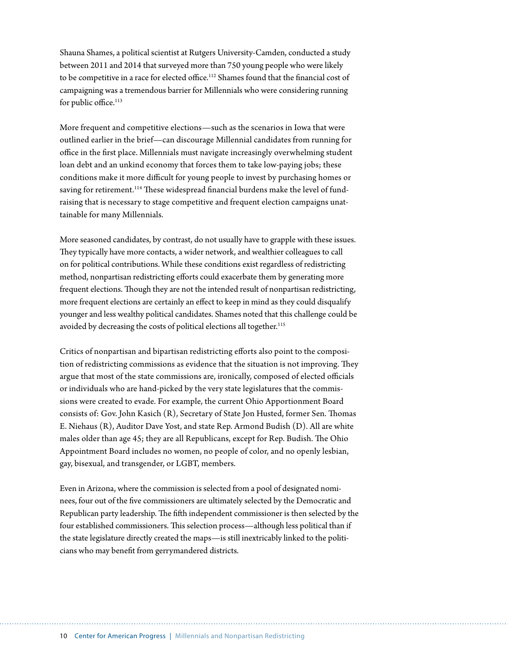Shauna Shames, a political scientist at Rutgers University-Camden, conducted a study between 2011 and 2014 that surveyed more than 750 young people who were likely to be competitive in a race for elected office.<sup>112</sup> Shames found that the financial cost of campaigning was a tremendous barrier for Millennials who were considering running for public office.<sup>113</sup>

More frequent and competitive elections—such as the scenarios in Iowa that were outlined earlier in the brief—can discourage Millennial candidates from running for office in the first place. Millennials must navigate increasingly overwhelming student loan debt and an unkind economy that forces them to take low-paying jobs; these conditions make it more difficult for young people to invest by purchasing homes or saving for retirement.<sup>114</sup> These widespread financial burdens make the level of fundraising that is necessary to stage competitive and frequent election campaigns unattainable for many Millennials.

More seasoned candidates, by contrast, do not usually have to grapple with these issues. They typically have more contacts, a wider network, and wealthier colleagues to call on for political contributions. While these conditions exist regardless of redistricting method, nonpartisan redistricting efforts could exacerbate them by generating more frequent elections. Though they are not the intended result of nonpartisan redistricting, more frequent elections are certainly an effect to keep in mind as they could disqualify younger and less wealthy political candidates. Shames noted that this challenge could be avoided by decreasing the costs of political elections all together.<sup>115</sup>

Critics of nonpartisan and bipartisan redistricting efforts also point to the composition of redistricting commissions as evidence that the situation is not improving. They argue that most of the state commissions are, ironically, composed of elected officials or individuals who are hand-picked by the very state legislatures that the commissions were created to evade. For example, the current Ohio Apportionment Board consists of: Gov. John Kasich (R), Secretary of State Jon Husted, former Sen. Thomas E. Niehaus (R), Auditor Dave Yost, and state Rep. Armond Budish (D). All are white males older than age 45; they are all Republicans, except for Rep. Budish. The Ohio Appointment Board includes no women, no people of color, and no openly lesbian, gay, bisexual, and transgender, or LGBT, members.

Even in Arizona, where the commission is selected from a pool of designated nominees, four out of the five commissioners are ultimately selected by the Democratic and Republican party leadership. The fifth independent commissioner is then selected by the four established commissioners. This selection process—although less political than if the state legislature directly created the maps—is still inextricably linked to the politicians who may benefit from gerrymandered districts.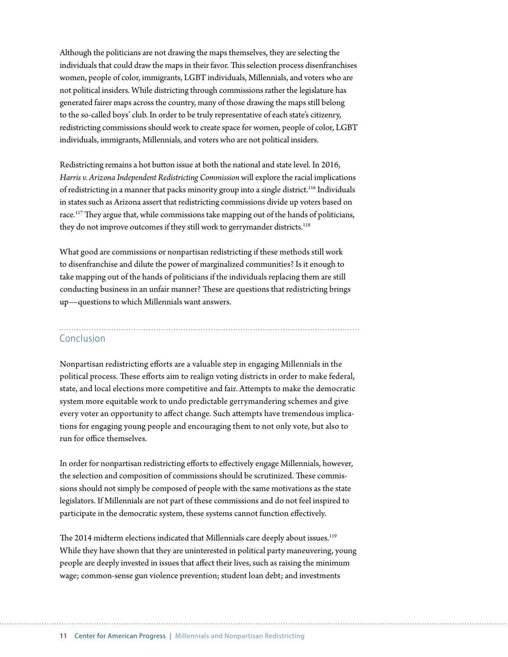Although the politicians are not drawing the maps themselves, they are selecting the individuals that could draw the maps in their favor. This selection process disenfranchises women, people of color, immigrants, LGBT individuals, Millennials, and voters who are not political insiders. While districting through commissions rather the legislature has generated fairer maps across the country, many of those drawing the maps still belong to the so-called boys' club. In order to be truly representative of each state's citizenry, redistricting commissions should work to create space for women, people of color, LGBT individuals, immigrants, Millennials, and voters who are not political insiders.

Redistricting remains a hot button issue at both the national and state level. In 2016, *Harris v. Arizona Independent Redistricting Commission* will explore the racial implications of redistricting in a manner that packs minority group into a single district.116 Individuals in states such as Arizona assert that redistricting commissions divide up voters based on race.<sup>117</sup> They argue that, while commissions take mapping out of the hands of politicians, they do not improve outcomes if they still work to gerrymander districts.<sup>118</sup>

What good are commissions or nonpartisan redistricting if these methods still work to disenfranchise and dilute the power of marginalized communities? Is it enough to take mapping out of the hands of politicians if the individuals replacing them are still conducting business in an unfair manner? These are questions that redistricting brings up—questions to which Millennials want answers.

## Conclusion

Nonpartisan redistricting efforts are a valuable step in engaging Millennials in the political process. These efforts aim to realign voting districts in order to make federal, state, and local elections more competitive and fair. Attempts to make the democratic system more equitable work to undo predictable gerrymandering schemes and give every voter an opportunity to affect change. Such attempts have tremendous implications for engaging young people and encouraging them to not only vote, but also to run for office themselves.

In order for nonpartisan redistricting efforts to effectively engage Millennials, however, the selection and composition of commissions should be scrutinized. These commissions should not simply be composed of people with the same motivations as the state legislators. If Millennials are not part of these commissions and do not feel inspired to participate in the democratic system, these systems cannot function effectively.

The 2014 midterm elections indicated that Millennials care deeply about issues.<sup>119</sup> While they have shown that they are uninterested in political party maneuvering, young people are deeply invested in issues that affect their lives, such as raising the minimum wage; common-sense gun violence prevention; student loan debt; and investments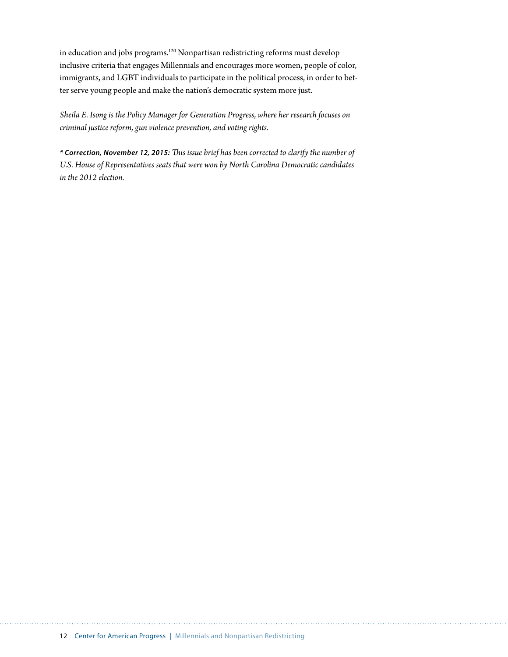in education and jobs programs.<sup>120</sup> Nonpartisan redistricting reforms must develop inclusive criteria that engages Millennials and encourages more women, people of color, immigrants, and LGBT individuals to participate in the political process, in order to better serve young people and make the nation's democratic system more just.

*Sheila E. Isong is the Policy Manager for Generation Progress, where her research focuses on criminal justice reform, gun violence prevention, and voting rights.* 

*\* Correction, November 12, 2015: This issue brief has been corrected to clarify the number of U.S. House of Representatives seats that were won by North Carolina Democratic candidates in the 2012 election.*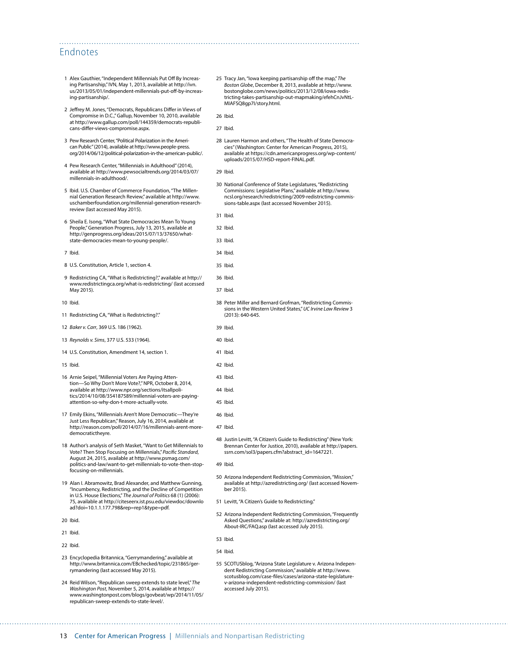#### Endnotes

- 1 Alex Gauthier, "Independent Millennials Put Off By Increasing Partisanship," IVN, May 1, 2013, available at [http://ivn.](http://ivn.us/2013/05/01/independent-millennials-put-off-by-increasing-partisanship/) [us/2013/05/01/independent-millennials-put-off-by-increas](http://ivn.us/2013/05/01/independent-millennials-put-off-by-increasing-partisanship/)[ing-partisanship/](http://ivn.us/2013/05/01/independent-millennials-put-off-by-increasing-partisanship/).
- 2 Jeffrey M. Jones, "Democrats, Republicans Differ in Views of Compromise in D.C.," Gallup, November 10, 2010, available at [http://www.gallup.com/poll/144359/democrats-republi](http://www.gallup.com/poll/144359/democrats-republicans-differ-views-compromise.aspx)[cans-differ-views-compromise.aspx](http://www.gallup.com/poll/144359/democrats-republicans-differ-views-compromise.aspx).
- 3 Pew Research Center, "Political Polarization in the American Public" (2014), available at [http://www.people-press.](http://www.people-press.org/2014/06/12/political-polarization-in-the-american-public/) [org/2014/06/12/political-polarization-in-the-american-public/](http://www.people-press.org/2014/06/12/political-polarization-in-the-american-public/).
- 4 Pew Research Center, "Millennials in Adulthood" (2014), available at [http://www.pewsocialtrends.org/2014/03/07/](http://www.pewsocialtrends.org/2014/03/07/millennials-in-adulthood/) [millennials-in-adulthood/](http://www.pewsocialtrends.org/2014/03/07/millennials-in-adulthood/).
- 5 Ibid. U.S. Chamber of Commerce Foundation, "The Millennial Generation Research Review," available at [http://www.](http://www.uschamberfoundation.org/millennial-generation-research-review) [uschamberfoundation.org/millennial-generation-research](http://www.uschamberfoundation.org/millennial-generation-research-review)[review](http://www.uschamberfoundation.org/millennial-generation-research-review) (last accessed May 2015).
- 6 Sheila E. Isong, "What State Democracies Mean To Young People," Generation Progress, July 13, 2015, available at [http://genprogress.org/ideas/2015/07/13/37650/what](http://genprogress.org/ideas/2015/07/13/37650/what-state-democracies-mean-to-young-people/)[state-democracies-mean-to-young-people/.](http://genprogress.org/ideas/2015/07/13/37650/what-state-democracies-mean-to-young-people/)
- 7 Ibid.
- 8 U.S. Constitution, Article 1, section 4.
- 9 Redistricting CA, "What is Redistricting?," available at [http://](http://www.redistrictingca.org/what-is-redistricting/) [www.redistrictingca.org/what-is-redistricting/](http://www.redistrictingca.org/what-is-redistricting/) (last accessed May 2015).
- 10 Ibid.
- 11 Redistricting CA, "What is Redistricting?."
- 12 *Baker v. Carr*, 369 U.S. 186 (1962).
- 13 *Reynolds v. Sims*, 377 U.S. 533 (1964).
- 14 U.S. Constitution, Amendment 14, section 1.
- 15 Ibid.
- 16 Arnie Seipel, "Millennial Voters Are Paying Attention—So Why Don't More Vote?," NPR, October 8, 2014, available at [http://www.npr.org/sections/itsallpoli](http://www.npr.org/sections/itsallpolitics/2014/10/08/354187589/millennial-voters-are-paying-attention-so-why-don-t-more-actually-vote)[tics/2014/10/08/354187589/millennial-voters-are-paying](http://www.npr.org/sections/itsallpolitics/2014/10/08/354187589/millennial-voters-are-paying-attention-so-why-don-t-more-actually-vote)[attention-so-why-don-t-more-actually-vote](http://www.npr.org/sections/itsallpolitics/2014/10/08/354187589/millennial-voters-are-paying-attention-so-why-don-t-more-actually-vote).
- 17 Emily Ekins, "Millennials Aren't More Democratic—They're Just Less Republican," Reason, July 16, 2014, available at [http://reason.com/poll/2014/07/16/millennials-arent-more](http://reason.com/poll/2014/07/16/millennials-arent-more-democratictheyre)[democratictheyre](http://reason.com/poll/2014/07/16/millennials-arent-more-democratictheyre).
- 18 Author's analysis of Seth Masket, "Want to Get Millennials to Vote? Then Stop Focusing on Millennials," *Pacific Standard*, August 24, 2015, available at http://www.psmag.com/ politics-and-law/want-to-get-millennials-to-vote-then-stopfocusing-on-millennials.
- 19 Alan I. Abramowitz, Brad Alexander, and Matthew Gunning, "Incumbency, Redistricting, and the Decline of Competition in U.S. House Elections," *The Journal of Politics* 68 (1) (2006): 75, available at http://citeseerx.ist.psu.edu/viewdoc/downlo ad?doi=10.1.1.177.798&rep=rep1&type=pdf.
- 20 Ibid.
- 21 Ibid.
- 22 Ibid.
- 23 Encyclopedia Britannica, "Gerrymandering," available at [http://www.britannica.com/EBchecked/topic/231865/ger](http://www.britannica.com/EBchecked/topic/231865/gerrymandering)[rymandering](http://www.britannica.com/EBchecked/topic/231865/gerrymandering) (last accessed May 2015).
- 24 Reid Wilson, "Republican sweep extends to state level," *The Washington Post*, November 5, 2014, available at [https://](https://www.washingtonpost.com/blogs/govbeat/wp/2014/11/05/republican-sweep-extends-to-state-level/) [www.washingtonpost.com/blogs/govbeat/wp/2014/11/05/](https://www.washingtonpost.com/blogs/govbeat/wp/2014/11/05/republican-sweep-extends-to-state-level/) [republican-sweep-extends-to-state-level/](https://www.washingtonpost.com/blogs/govbeat/wp/2014/11/05/republican-sweep-extends-to-state-level/).

25 Tracy Jan, "Iowa keeping partisanship off the map," *The Boston Globe*, December 8, 2013, available at [http://www.](http://www.bostonglobe.com/news/politics/2013/12/08/iowa-redistricting-takes-partisanship-out-mapmaking/efehCnJvNtLMIAFSQ8gp7I/story.html) [bostonglobe.com/news/politics/2013/12/08/iowa-redis](http://www.bostonglobe.com/news/politics/2013/12/08/iowa-redistricting-takes-partisanship-out-mapmaking/efehCnJvNtLMIAFSQ8gp7I/story.html)[tricting-takes-partisanship-out-mapmaking/efehCnJvNtL-](http://www.bostonglobe.com/news/politics/2013/12/08/iowa-redistricting-takes-partisanship-out-mapmaking/efehCnJvNtLMIAFSQ8gp7I/story.html)[MIAFSQ8gp7I/story.html](http://www.bostonglobe.com/news/politics/2013/12/08/iowa-redistricting-takes-partisanship-out-mapmaking/efehCnJvNtLMIAFSQ8gp7I/story.html).

26 Ibid.

27 Ibid.

- 28 Lauren Harmon and others, "The Health of State Democracies" (Washington: Center for American Progress, 2015), available at [https://cdn.americanprogress.org/wp-content/](https://cdn.americanprogress.org/wp-content/uploads/2015/07/HSD-report-FINAL.pdf) [uploads/2015/07/HSD-report-FINAL.pdf](https://cdn.americanprogress.org/wp-content/uploads/2015/07/HSD-report-FINAL.pdf).
- 29 Ibid.

31 Ibid. 32 Ibid. 33 Ibid. 34 Ibid. 35 Ibid. 36 Ibid. 37 Ibid.

(2013): 640-645.

39 Ibid. 40 Ibid. 41 Ibid.

30 National Conference of State Legislatures, "Redistricting Commissions: Legislative Plans," available at [http://www.](http://www.ncsl.org/research/redistricting/2009-redistricting-commissions-table.aspx) [ncsl.org/research/redistricting/2009-redistricting-commis](http://www.ncsl.org/research/redistricting/2009-redistricting-commissions-table.aspx)[sions-table.aspx](http://www.ncsl.org/research/redistricting/2009-redistricting-commissions-table.aspx) (last accessed November 2015).

42 Ibid. 43 Ibid. 44 Ibid. 45 Ibid.

38 Peter Miller and Bernard Grofman, "Redistricting Commissions in the Western United States," *UC Irvine Law Review* 3

- 48 Justin Levitt, "A Citizen's Guide to Redistricting" (New York: Brennan Center for Justice, 2010), available at [http://papers.](http://papers.ssrn.com/sol3/papers.cfm?abstract_id=1647221) [ssrn.com/sol3/papers.cfm?abstract\\_id=1647221](http://papers.ssrn.com/sol3/papers.cfm?abstract_id=1647221).
- 49 Ibid.

46 Ibid. 47 Ibid.

- 50 Arizona Independent Redistricting Commission, "Mission," available at<http://azredistricting.org/> (last accessed November 2015).
- 51 Levitt, "A Citizen's Guide to Redistricting."
- 52 Arizona Independent Redistricting Commission, "Frequently Asked Questions," available at: [http://azredistricting.org/](http://azredistricting.org/About-IRC/FAQ.asp) [About-IRC/FAQ.asp](http://azredistricting.org/About-IRC/FAQ.asp) (last accessed July 2015).
- 53 Ibid.
- 54 Ibid.
- 55 SCOTUSblog, "Arizona State Legislature v. Arizona Independent Redistricting Commission," available at [http://www.](http://www.scotusblog.com/case-files/cases/arizona-state-legislature-v-arizona-independent-redistricting-commission/) [scotusblog.com/case-files/cases/arizona-state-legislature](http://www.scotusblog.com/case-files/cases/arizona-state-legislature-v-arizona-independent-redistricting-commission/)[v-arizona-independent-redistricting-commission/](http://www.scotusblog.com/case-files/cases/arizona-state-legislature-v-arizona-independent-redistricting-commission/) (last accessed July 2015).